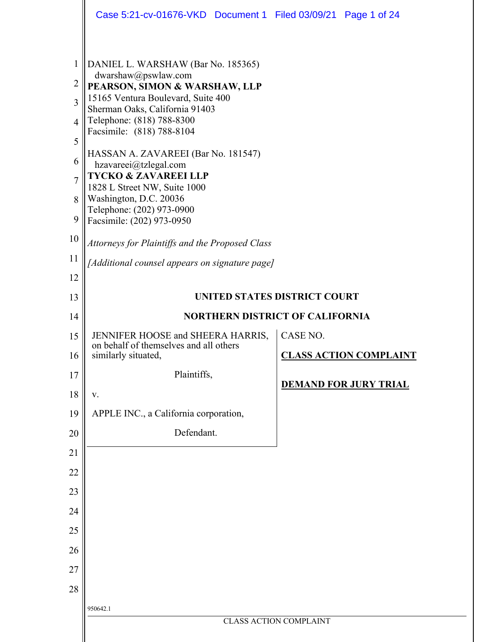|                                                                                                     | Case 5:21-cv-01676-VKD  Document 1  Filed 03/09/21  Page 1 of 24                                                                                                                                                                                                                                                                                                                                                                                                                                       |                               |                               |
|-----------------------------------------------------------------------------------------------------|--------------------------------------------------------------------------------------------------------------------------------------------------------------------------------------------------------------------------------------------------------------------------------------------------------------------------------------------------------------------------------------------------------------------------------------------------------------------------------------------------------|-------------------------------|-------------------------------|
| 1<br>$\overline{c}$<br>$\overline{3}$<br>$\overline{4}$<br>5<br>6<br>$\overline{7}$<br>8<br>9<br>10 | DANIEL L. WARSHAW (Bar No. 185365)<br>dwarshaw@pswlaw.com<br>PEARSON, SIMON & WARSHAW, LLP<br>15165 Ventura Boulevard, Suite 400<br>Sherman Oaks, California 91403<br>Telephone: (818) 788-8300<br>Facsimile: (818) 788-8104<br>HASSAN A. ZAVAREEI (Bar No. 181547)<br>hzavareei@tzlegal.com<br><b>TYCKO &amp; ZAVAREEI LLP</b><br>1828 L Street NW, Suite 1000<br>Washington, D.C. 20036<br>Telephone: (202) 973-0900<br>Facsimile: (202) 973-0950<br>Attorneys for Plaintiffs and the Proposed Class |                               |                               |
| 11                                                                                                  | [Additional counsel appears on signature page]                                                                                                                                                                                                                                                                                                                                                                                                                                                         |                               |                               |
| 12                                                                                                  |                                                                                                                                                                                                                                                                                                                                                                                                                                                                                                        |                               |                               |
| 13                                                                                                  | UNITED STATES DISTRICT COURT                                                                                                                                                                                                                                                                                                                                                                                                                                                                           |                               |                               |
| 14                                                                                                  | <b>NORTHERN DISTRICT OF CALIFORNIA</b>                                                                                                                                                                                                                                                                                                                                                                                                                                                                 |                               |                               |
| 15                                                                                                  | JENNIFER HOOSE and SHEERA HARRIS,<br>on behalf of themselves and all others                                                                                                                                                                                                                                                                                                                                                                                                                            | CASE NO.                      |                               |
| 16                                                                                                  | similarly situated,                                                                                                                                                                                                                                                                                                                                                                                                                                                                                    |                               | <b>CLASS ACTION COMPLAINT</b> |
| 17                                                                                                  | Plaintiffs,                                                                                                                                                                                                                                                                                                                                                                                                                                                                                            |                               | <b>DEMAND FOR JURY TRIAL</b>  |
| 18                                                                                                  | V.                                                                                                                                                                                                                                                                                                                                                                                                                                                                                                     |                               |                               |
| 19                                                                                                  | APPLE INC., a California corporation,                                                                                                                                                                                                                                                                                                                                                                                                                                                                  |                               |                               |
| 20                                                                                                  | Defendant.                                                                                                                                                                                                                                                                                                                                                                                                                                                                                             |                               |                               |
| 21                                                                                                  |                                                                                                                                                                                                                                                                                                                                                                                                                                                                                                        |                               |                               |
| 22                                                                                                  |                                                                                                                                                                                                                                                                                                                                                                                                                                                                                                        |                               |                               |
| 23                                                                                                  |                                                                                                                                                                                                                                                                                                                                                                                                                                                                                                        |                               |                               |
| 24                                                                                                  |                                                                                                                                                                                                                                                                                                                                                                                                                                                                                                        |                               |                               |
| 25                                                                                                  |                                                                                                                                                                                                                                                                                                                                                                                                                                                                                                        |                               |                               |
| 26                                                                                                  |                                                                                                                                                                                                                                                                                                                                                                                                                                                                                                        |                               |                               |
| 27                                                                                                  |                                                                                                                                                                                                                                                                                                                                                                                                                                                                                                        |                               |                               |
| 28                                                                                                  |                                                                                                                                                                                                                                                                                                                                                                                                                                                                                                        |                               |                               |
|                                                                                                     | 950642.1                                                                                                                                                                                                                                                                                                                                                                                                                                                                                               |                               |                               |
|                                                                                                     |                                                                                                                                                                                                                                                                                                                                                                                                                                                                                                        | <b>CLASS ACTION COMPLAINT</b> |                               |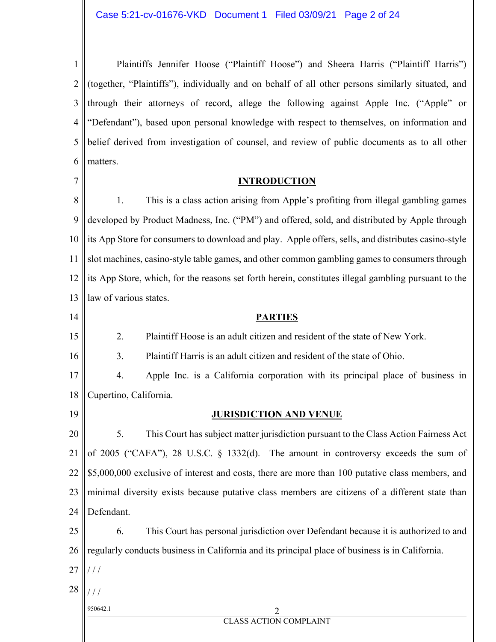1 2 3 4 5 6 Plaintiffs Jennifer Hoose ("Plaintiff Hoose") and Sheera Harris ("Plaintiff Harris") (together, "Plaintiffs"), individually and on behalf of all other persons similarly situated, and through their attorneys of record, allege the following against Apple Inc. ("Apple" or "Defendant"), based upon personal knowledge with respect to themselves, on information and belief derived from investigation of counsel, and review of public documents as to all other matters.

#### **INTRODUCTION**

8 9 10 11 12 13 1. This is a class action arising from Apple's profiting from illegal gambling games developed by Product Madness, Inc. ("PM") and offered, sold, and distributed by Apple through its App Store for consumers to download and play. Apple offers, sells, and distributes casino-style slot machines, casino-style table games, and other common gambling games to consumers through its App Store, which, for the reasons set forth herein, constitutes illegal gambling pursuant to the law of various states.

2. Plaintiff Hoose is an adult citizen and resident of the state of New York.

3. Plaintiff Harris is an adult citizen and resident of the state of Ohio.

17 18 4. Apple Inc. is a California corporation with its principal place of business in Cupertino, California.

19

14

15

16

7

#### **JURISDICTION AND VENUE**

**PARTIES** 

20 21 22 23 24 5. This Court has subject matter jurisdiction pursuant to the Class Action Fairness Act of 2005 ("CAFA"), 28 U.S.C. § 1332(d). The amount in controversy exceeds the sum of \$5,000,000 exclusive of interest and costs, there are more than 100 putative class members, and minimal diversity exists because putative class members are citizens of a different state than Defendant.

25 26 6. This Court has personal jurisdiction over Defendant because it is authorized to and regularly conducts business in California and its principal place of business is in California.

- 27 / / /
- 28 / / /

950642.1 2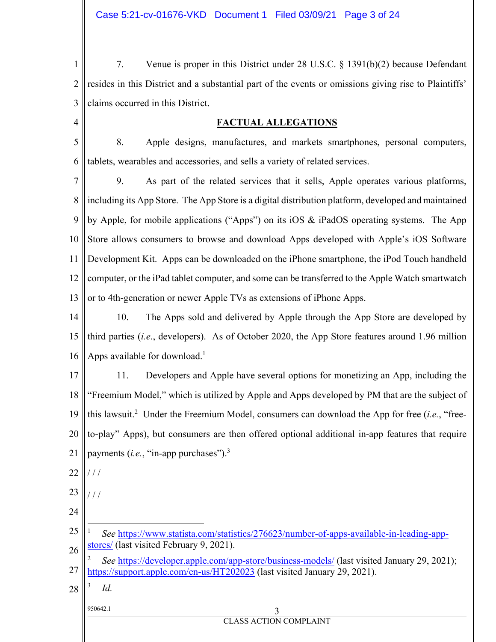1 2 3 7. Venue is proper in this District under 28 U.S.C. § 1391(b)(2) because Defendant resides in this District and a substantial part of the events or omissions giving rise to Plaintiffs' claims occurred in this District.

#### **FACTUAL ALLEGATIONS**

5 6 8. Apple designs, manufactures, and markets smartphones, personal computers, tablets, wearables and accessories, and sells a variety of related services.

7 8 9 10 11 12 13 9. As part of the related services that it sells, Apple operates various platforms, including its App Store. The App Store is a digital distribution platform, developed and maintained by Apple, for mobile applications ("Apps") on its iOS & iPadOS operating systems. The App Store allows consumers to browse and download Apps developed with Apple's iOS Software Development Kit. Apps can be downloaded on the iPhone smartphone, the iPod Touch handheld computer, or the iPad tablet computer, and some can be transferred to the Apple Watch smartwatch or to 4th-generation or newer Apple TVs as extensions of iPhone Apps.

14 15 16 10. The Apps sold and delivered by Apple through the App Store are developed by third parties (*i.e*., developers). As of October 2020, the App Store features around 1.96 million Apps available for download.<sup>1</sup>

17 18 19 20 21 11. Developers and Apple have several options for monetizing an App, including the "Freemium Model," which is utilized by Apple and Apps developed by PM that are the subject of this lawsuit.<sup>2</sup> Under the Freemium Model, consumers can download the App for free (*i.e.*, "freeto-play" Apps), but consumers are then offered optional additional in-app features that require payments (*i.e.*, "in-app purchases").3

22 / / /

/ / /

 $\overline{a}$ 

23

4

- 24
- 25 26 1 *See* https://www.statista.com/statistics/276623/number-of-apps-available-in-leading-appstores/ (last visited February 9, 2021).
- 27 2 *See* https://developer.apple.com/app-store/business-models/ (last visited January 29, 2021); https://support.apple.com/en-us/HT202023 (last visited January 29, 2021).
- 28 3 *Id.*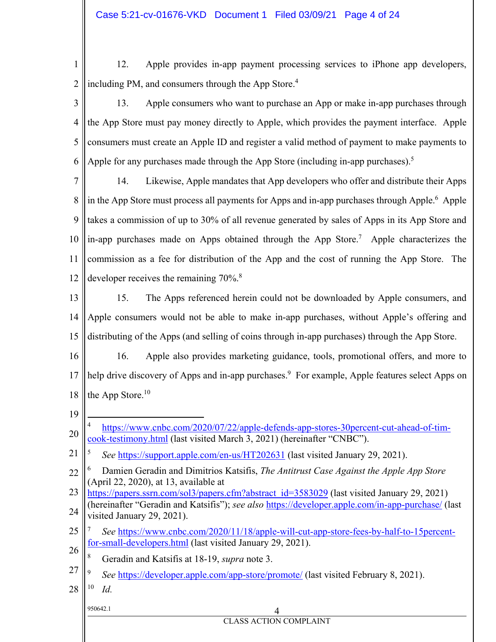1

2

12. Apple provides in-app payment processing services to iPhone app developers, including PM, and consumers through the App Store.<sup>4</sup>

3 4 5 6 13. Apple consumers who want to purchase an App or make in-app purchases through the App Store must pay money directly to Apple, which provides the payment interface. Apple consumers must create an Apple ID and register a valid method of payment to make payments to Apple for any purchases made through the App Store (including in-app purchases).<sup>5</sup>

7 8 9 10 11 12 14. Likewise, Apple mandates that App developers who offer and distribute their Apps in the App Store must process all payments for Apps and in-app purchases through Apple.<sup>6</sup> Apple takes a commission of up to 30% of all revenue generated by sales of Apps in its App Store and in-app purchases made on Apps obtained through the App Store.<sup>7</sup> Apple characterizes the commission as a fee for distribution of the App and the cost of running the App Store. The developer receives the remaining 70%.<sup>8</sup>

- 13 14 15 15. The Apps referenced herein could not be downloaded by Apple consumers, and Apple consumers would not be able to make in-app purchases, without Apple's offering and distributing of the Apps (and selling of coins through in-app purchases) through the App Store.
- 16 17 18 16. Apple also provides marketing guidance, tools, promotional offers, and more to help drive discovery of Apps and in-app purchases.<sup>9</sup> For example, Apple features select Apps on the App Store.<sup>10</sup>
- 19
- 20 1 4 https://www.cnbc.com/2020/07/22/apple-defends-app-stores-30percent-cut-ahead-of-timcook-testimony.html (last visited March 3, 2021) (hereinafter "CNBC").
- 21 5 *See* https://support.apple.com/en-us/HT202631 (last visited January 29, 2021).

- 23 24 https://papers.ssrn.com/sol3/papers.cfm?abstract\_id=3583029 (last visited January 29, 2021) (hereinafter "Geradin and Katsifis"); *see also* https://developer.apple.com/in-app-purchase/ (last visited January 29, 2021).
- 25 26 7 *See* https://www.cnbc.com/2020/11/18/apple-will-cut-app-store-fees-by-half-to-15percentfor-small-developers.html (last visited January 29, 2021).
- 8 Geradin and Katsifis at 18-19, *supra* note 3.
- 27 9 *See* https://developer.apple.com/app-store/promote/ (last visited February 8, 2021).
- 28 10 *Id.*

#### 950642.1 4 CLASS ACTION COMPLAINT

<sup>22</sup> 6 Damien Geradin and Dimitrios Katsifis, *The Antitrust Case Against the Apple App Store* (April 22, 2020), at 13, available at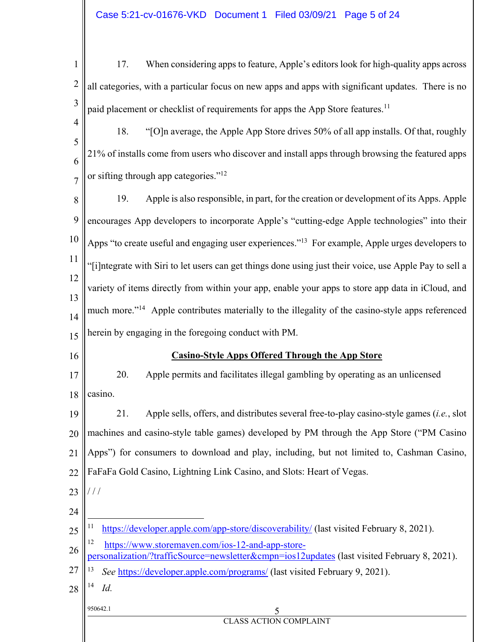950642.1 5 CLASS ACTION COMPLAINT 1 2 3 4 5 6 7 8 9 10 11 12 13 14 15 16 17 18 19 20 21 22 23 24 25 26 27 28 17. When considering apps to feature, Apple's editors look for high-quality apps across all categories, with a particular focus on new apps and apps with significant updates. There is no paid placement or checklist of requirements for apps the App Store features.<sup>11</sup> 18. "[O]n average, the Apple App Store drives 50% of all app installs. Of that, roughly 21% of installs come from users who discover and install apps through browsing the featured apps or sifting through app categories."<sup>12</sup> 19. Apple is also responsible, in part, for the creation or development of its Apps. Apple encourages App developers to incorporate Apple's "cutting-edge Apple technologies" into their Apps "to create useful and engaging user experiences."13 For example, Apple urges developers to "[i]ntegrate with Siri to let users can get things done using just their voice, use Apple Pay to sell a variety of items directly from within your app, enable your apps to store app data in iCloud, and much more."<sup>14</sup> Apple contributes materially to the illegality of the casino-style apps referenced herein by engaging in the foregoing conduct with PM. **Casino-Style Apps Offered Through the App Store**  20. Apple permits and facilitates illegal gambling by operating as an unlicensed casino. 21. Apple sells, offers, and distributes several free-to-play casino-style games (*i.e.*, slot machines and casino-style table games) developed by PM through the App Store ("PM Casino Apps") for consumers to download and play, including, but not limited to, Cashman Casino, FaFaFa Gold Casino, Lightning Link Casino, and Slots: Heart of Vegas. / / / 1 <sup>11</sup> https://developer.apple.com/app-store/discoverability/ (last visited February 8, 2021). 12 https://www.storemaven.com/ios-12-and-app-storepersonalization/?trafficSource=newsletter&cmpn=ios12updates (last visited February 8, 2021). 13 *See* https://developer.apple.com/programs/ (last visited February 9, 2021). 14 *Id.*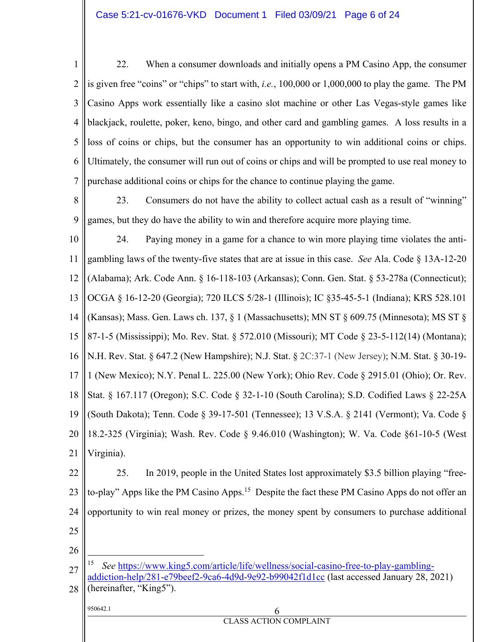1 2 3 4 5 6 7 22. When a consumer downloads and initially opens a PM Casino App, the consumer is given free "coins" or "chips" to start with, *i.e.*, 100,000 or 1,000,000 to play the game. The PM Casino Apps work essentially like a casino slot machine or other Las Vegas-style games like blackjack, roulette, poker, keno, bingo, and other card and gambling games. A loss results in a loss of coins or chips, but the consumer has an opportunity to win additional coins or chips. Ultimately, the consumer will run out of coins or chips and will be prompted to use real money to purchase additional coins or chips for the chance to continue playing the game.

8 9 23. Consumers do not have the ability to collect actual cash as a result of "winning" games, but they do have the ability to win and therefore acquire more playing time.

10 11 12 13 14 15 16 17 18 19 20 21 24. Paying money in a game for a chance to win more playing time violates the antigambling laws of the twenty-five states that are at issue in this case. *See* Ala. Code § 13A-12-20 (Alabama); Ark. Code Ann. § 16-118-103 (Arkansas); Conn. Gen. Stat. § 53-278a (Connecticut); OCGA § 16-12-20 (Georgia); 720 ILCS 5/28-1 (Illinois); IC §35-45-5-1 (Indiana); KRS 528.101 (Kansas); Mass. Gen. Laws ch. 137, § 1 (Massachusetts); MN ST § 609.75 (Minnesota); MS ST § 87-1-5 (Mississippi); Mo. Rev. Stat. § 572.010 (Missouri); MT Code § 23-5-112(14) (Montana); N.H. Rev. Stat. § 647.2 (New Hampshire); N.J. Stat. § 2C:37-1 (New Jersey); N.M. Stat. § 30-19- 1 (New Mexico); N.Y. Penal L. 225.00 (New York); Ohio Rev. Code § 2915.01 (Ohio); Or. Rev. Stat. § 167.117 (Oregon); S.C. Code § 32-1-10 (South Carolina); S.D. Codified Laws § 22-25A (South Dakota); Tenn. Code § 39-17-501 (Tennessee); 13 V.S.A. § 2141 (Vermont); Va. Code § 18.2-325 (Virginia); Wash. Rev. Code § 9.46.010 (Washington); W. Va. Code §61-10-5 (West Virginia).

22 23 24 25 25. In 2019, people in the United States lost approximately \$3.5 billion playing "freeto-play" Apps like the PM Casino Apps.<sup>15</sup> Despite the fact these PM Casino Apps do not offer an opportunity to win real money or prizes, the money spent by consumers to purchase additional

26

 $\overline{a}$ 

27 28 <sup>15</sup> *See* https://www.king5.com/article/life/wellness/social-casino-free-to-play-gamblingaddiction-help/281-e79beef2-9ca6-4d9d-9e92-b99042f1d1cc (last accessed January 28, 2021) (hereinafter, "King5").

| $\overline{\phantom{a}}$ | 950642.1 |
|--------------------------|----------|
|                          |          |

| 950642.1 |                        |
|----------|------------------------|
|          | CLASS ACTION COMPLAINT |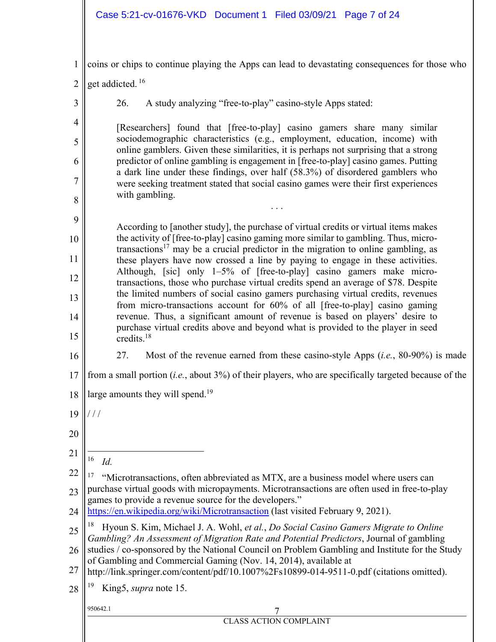# Case 5:21-cv-01676-VKD Document 1 Filed 03/09/21 Page 7 of 24

| $\mathbf{1}$   | coins or chips to continue playing the Apps can lead to devastating consequences for those who                                                                                 |
|----------------|--------------------------------------------------------------------------------------------------------------------------------------------------------------------------------|
| $\overline{2}$ | get addicted. <sup>16</sup>                                                                                                                                                    |
| 3              | A study analyzing "free-to-play" casino-style Apps stated:<br>26.                                                                                                              |
| $\overline{4}$ | [Researchers] found that [free-to-play] casino gamers share many similar                                                                                                       |
| 5              | sociodemographic characteristics (e.g., employment, education, income) with<br>online gamblers. Given these similarities, it is perhaps not surprising that a strong           |
| 6              | predictor of online gambling is engagement in [free-to-play] casino games. Putting<br>a dark line under these findings, over half (58.3%) of disordered gamblers who           |
| 7              | were seeking treatment stated that social casino games were their first experiences<br>with gambling.                                                                          |
| 8              |                                                                                                                                                                                |
| 9              | According to [another study], the purchase of virtual credits or virtual items makes<br>the activity of [free-to-play] casino gaming more similar to gambling. Thus, micro-    |
| 10             | transactions <sup>17</sup> may be a crucial predictor in the migration to online gambling, as                                                                                  |
| 11<br>12       | these players have now crossed a line by paying to engage in these activities.<br>Although, [sic] only 1-5% of [free-to-play] casino gamers make micro-                        |
| 13             | transactions, those who purchase virtual credits spend an average of \$78. Despite<br>the limited numbers of social casino gamers purchasing virtual credits, revenues         |
| 14             | from micro-transactions account for 60% of all [free-to-play] casino gaming<br>revenue. Thus, a significant amount of revenue is based on players' desire to                   |
| 15             | purchase virtual credits above and beyond what is provided to the player in seed<br>credits. $18$                                                                              |
| 16             | 27.<br>Most of the revenue earned from these casino-style Apps $(i.e., 80-90%)$ is made                                                                                        |
| 17             | from a small portion $(i.e., about 3%)$ of their players, who are specifically targeted because of the                                                                         |
| 18             | large amounts they will spend. <sup>19</sup>                                                                                                                                   |
| 19             | 111                                                                                                                                                                            |
| 20             |                                                                                                                                                                                |
| 21             | 16<br>Id.                                                                                                                                                                      |
| 22             | "Microtransactions, often abbreviated as MTX, are a business model where users can                                                                                             |
| 23             | purchase virtual goods with micropayments. Microtransactions are often used in free-to-play<br>games to provide a revenue source for the developers."                          |
| 24             | https://en.wikipedia.org/wiki/Microtransaction (last visited February 9, 2021).                                                                                                |
| 25             | Hyoun S. Kim, Michael J. A. Wohl, et al., Do Social Casino Gamers Migrate to Online<br>Gambling? An Assessment of Migration Rate and Potential Predictors, Journal of gambling |
| 26             | studies / co-sponsored by the National Council on Problem Gambling and Institute for the Study<br>of Gambling and Commercial Gaming (Nov. 14, 2014), available at              |
| 27             | http://link.springer.com/content/pdf/10.1007%2Fs10899-014-9511-0.pdf (citations omitted).                                                                                      |
| 28             | King5, supra note 15.                                                                                                                                                          |
|                | 950642.1<br><b>CLASS ACTION COMPLAINT</b>                                                                                                                                      |
|                |                                                                                                                                                                                |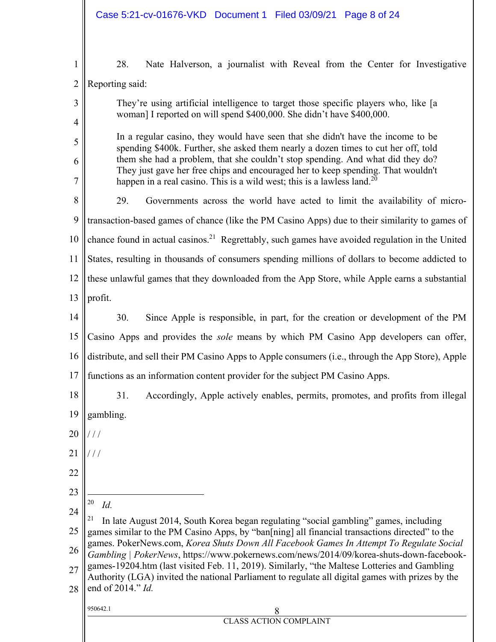| $\mathbf{1}$   | 28.<br>Nate Halverson, a journalist with Reveal from the Center for Investigative                                                                                                      |  |  |  |  |  |  |
|----------------|----------------------------------------------------------------------------------------------------------------------------------------------------------------------------------------|--|--|--|--|--|--|
| $\overline{2}$ | Reporting said:                                                                                                                                                                        |  |  |  |  |  |  |
| 3              | They're using artificial intelligence to target those specific players who, like [a                                                                                                    |  |  |  |  |  |  |
| 4              | woman] I reported on will spend \$400,000. She didn't have \$400,000.                                                                                                                  |  |  |  |  |  |  |
| 5              | In a regular casino, they would have seen that she didn't have the income to be                                                                                                        |  |  |  |  |  |  |
| 6              | spending \$400k. Further, she asked them nearly a dozen times to cut her off, told<br>them she had a problem, that she couldn't stop spending. And what did they do?                   |  |  |  |  |  |  |
| 7              | They just gave her free chips and encouraged her to keep spending. That wouldn't<br>happen in a real casino. This is a wild west; this is a lawless land. <sup>20</sup>                |  |  |  |  |  |  |
| 8              | 29.<br>Governments across the world have acted to limit the availability of micro-                                                                                                     |  |  |  |  |  |  |
| 9              | transaction-based games of chance (like the PM Casino Apps) due to their similarity to games of                                                                                        |  |  |  |  |  |  |
| 10             | chance found in actual casinos. <sup>21</sup> Regrettably, such games have avoided regulation in the United                                                                            |  |  |  |  |  |  |
| 11             | States, resulting in thousands of consumers spending millions of dollars to become addicted to                                                                                         |  |  |  |  |  |  |
| 12             | these unlawful games that they downloaded from the App Store, while Apple earns a substantial                                                                                          |  |  |  |  |  |  |
| 13             | profit.                                                                                                                                                                                |  |  |  |  |  |  |
| 14             | 30.<br>Since Apple is responsible, in part, for the creation or development of the PM                                                                                                  |  |  |  |  |  |  |
| 15             | Casino Apps and provides the <i>sole</i> means by which PM Casino App developers can offer,                                                                                            |  |  |  |  |  |  |
| 16             | distribute, and sell their PM Casino Apps to Apple consumers (i.e., through the App Store), Apple                                                                                      |  |  |  |  |  |  |
| 17             | functions as an information content provider for the subject PM Casino Apps.                                                                                                           |  |  |  |  |  |  |
| 18             | 31.<br>Accordingly, Apple actively enables, permits, promotes, and profits from illegal                                                                                                |  |  |  |  |  |  |
| 19             | gambling.                                                                                                                                                                              |  |  |  |  |  |  |
| 20             |                                                                                                                                                                                        |  |  |  |  |  |  |
| 21             | $\frac{1}{2}$                                                                                                                                                                          |  |  |  |  |  |  |
| 22             |                                                                                                                                                                                        |  |  |  |  |  |  |
| 23             |                                                                                                                                                                                        |  |  |  |  |  |  |
| 24             | 20<br>Id.                                                                                                                                                                              |  |  |  |  |  |  |
| 25             | In late August 2014, South Korea began regulating "social gambling" games, including<br>games similar to the PM Casino Apps, by "ban[ning] all financial transactions directed" to the |  |  |  |  |  |  |
| 26             | games. PokerNews.com, Korea Shuts Down All Facebook Games In Attempt To Regulate Social<br>Gambling   PokerNews, https://www.pokernews.com/news/2014/09/korea-shuts-down-facebook-     |  |  |  |  |  |  |
| 27             | games-19204.htm (last visited Feb. 11, 2019). Similarly, "the Maltese Lotteries and Gambling                                                                                           |  |  |  |  |  |  |
| 28             | Authority (LGA) invited the national Parliament to regulate all digital games with prizes by the<br>end of 2014." Id.                                                                  |  |  |  |  |  |  |
|                | 950642.1<br>8                                                                                                                                                                          |  |  |  |  |  |  |
|                | <b>CLASS ACTION COMPLAINT</b>                                                                                                                                                          |  |  |  |  |  |  |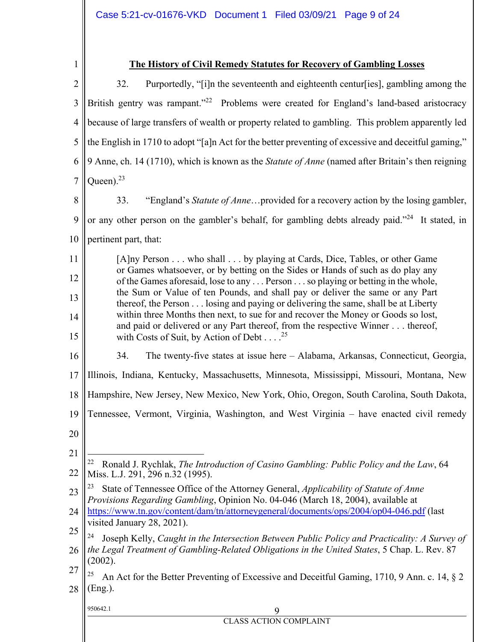| 1              | <b>The History of Civil Remedy Statutes for Recovery of Gambling Losses</b>                                                                                             |  |  |  |  |  |  |  |
|----------------|-------------------------------------------------------------------------------------------------------------------------------------------------------------------------|--|--|--|--|--|--|--|
| $\overline{2}$ | Purportedly, "[i]n the seventeenth and eighteenth centur[ies], gambling among the<br>32.                                                                                |  |  |  |  |  |  |  |
| 3              | British gentry was rampant." <sup>22</sup> Problems were created for England's land-based aristocracy                                                                   |  |  |  |  |  |  |  |
| $\overline{4}$ | because of large transfers of wealth or property related to gambling. This problem apparently led                                                                       |  |  |  |  |  |  |  |
| 5              | the English in 1710 to adopt "[a]n Act for the better preventing of excessive and deceitful gaming,"                                                                    |  |  |  |  |  |  |  |
| 6              | 9 Anne, ch. 14 (1710), which is known as the Statute of Anne (named after Britain's then reigning                                                                       |  |  |  |  |  |  |  |
| $\overline{7}$ | Queen). $^{23}$                                                                                                                                                         |  |  |  |  |  |  |  |
| 8              | "England's Statute of Anneprovided for a recovery action by the losing gambler,<br>33.                                                                                  |  |  |  |  |  |  |  |
| 9              | or any other person on the gambler's behalf, for gambling debts already paid." <sup>24</sup> It stated, in                                                              |  |  |  |  |  |  |  |
| 10             | pertinent part, that:                                                                                                                                                   |  |  |  |  |  |  |  |
| 11             | [A]ny Person who shall by playing at Cards, Dice, Tables, or other Game                                                                                                 |  |  |  |  |  |  |  |
| 12             | or Games whatsoever, or by betting on the Sides or Hands of such as do play any<br>of the Games aforesaid, lose to any  Person  so playing or betting in the whole,     |  |  |  |  |  |  |  |
| 13             | the Sum or Value of ten Pounds, and shall pay or deliver the same or any Part<br>thereof, the Person losing and paying or delivering the same, shall be at Liberty      |  |  |  |  |  |  |  |
| 14             | within three Months then next, to sue for and recover the Money or Goods so lost,<br>and paid or delivered or any Part thereof, from the respective Winner thereof,     |  |  |  |  |  |  |  |
| 15             | with Costs of Suit, by Action of Debt <sup>25</sup>                                                                                                                     |  |  |  |  |  |  |  |
| 16             | The twenty-five states at issue here - Alabama, Arkansas, Connecticut, Georgia,<br>34.                                                                                  |  |  |  |  |  |  |  |
| 17             | Illinois, Indiana, Kentucky, Massachusetts, Minnesota, Mississippi, Missouri, Montana, New                                                                              |  |  |  |  |  |  |  |
| 18             | Hampshire, New Jersey, New Mexico, New York, Ohio, Oregon, South Carolina, South Dakota,                                                                                |  |  |  |  |  |  |  |
|                | 19    Tennessee, Vermont, Virginia, Washington, and West Virginia - have enacted civil remedy                                                                           |  |  |  |  |  |  |  |
| 20             |                                                                                                                                                                         |  |  |  |  |  |  |  |
| 21             | 22                                                                                                                                                                      |  |  |  |  |  |  |  |
| 22             | Ronald J. Rychlak, The Introduction of Casino Gambling: Public Policy and the Law, 64<br>Miss. L.J. 291, 296 n.32 (1995).                                               |  |  |  |  |  |  |  |
| 23             | State of Tennessee Office of the Attorney General, Applicability of Statute of Anne<br>Provisions Regarding Gambling, Opinion No. 04-046 (March 18, 2004), available at |  |  |  |  |  |  |  |
| 24             | https://www.tn.gov/content/dam/tn/attorneygeneral/documents/ops/2004/op04-046.pdf (last                                                                                 |  |  |  |  |  |  |  |
| 25             | visited January 28, 2021).<br>Joseph Kelly, Caught in the Intersection Between Public Policy and Practicality: A Survey of                                              |  |  |  |  |  |  |  |
| 26             | the Legal Treatment of Gambling-Related Obligations in the United States, 5 Chap. L. Rev. 87                                                                            |  |  |  |  |  |  |  |
| 27             | (2002).<br>An Act for the Better Preventing of Excessive and Deceitful Gaming, 1710, 9 Ann. c. 14, § 2                                                                  |  |  |  |  |  |  |  |
| 28             | (Eng.).                                                                                                                                                                 |  |  |  |  |  |  |  |
|                | 950642.1<br>9                                                                                                                                                           |  |  |  |  |  |  |  |
|                | <b>CLASS ACTION COMPLAINT</b>                                                                                                                                           |  |  |  |  |  |  |  |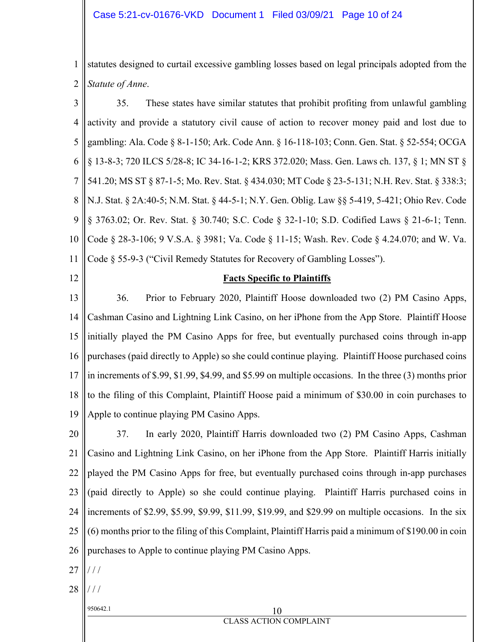1 2 statutes designed to curtail excessive gambling losses based on legal principals adopted from the *Statute of Anne*.

3 4 5 6 7 8 9 10 11 35. These states have similar statutes that prohibit profiting from unlawful gambling activity and provide a statutory civil cause of action to recover money paid and lost due to gambling: Ala. Code § 8-1-150; Ark. Code Ann. § 16-118-103; Conn. Gen. Stat. § 52-554; OCGA § 13-8-3; 720 ILCS 5/28-8; IC 34-16-1-2; KRS 372.020; Mass. Gen. Laws ch. 137, § 1; MN ST § 541.20; MS ST § 87-1-5; Mo. Rev. Stat. § 434.030; MT Code § 23-5-131; N.H. Rev. Stat. § 338:3; N.J. Stat. § 2A:40-5; N.M. Stat. § 44-5-1; N.Y. Gen. Oblig. Law §§ 5-419, 5-421; Ohio Rev. Code § 3763.02; Or. Rev. Stat. § 30.740; S.C. Code § 32-1-10; S.D. Codified Laws § 21-6-1; Tenn. Code § 28-3-106; 9 V.S.A. § 3981; Va. Code § 11-15; Wash. Rev. Code § 4.24.070; and W. Va. Code § 55-9-3 ("Civil Remedy Statutes for Recovery of Gambling Losses").

12

#### **Facts Specific to Plaintiffs**

13 14 15 16 17 18 19 36. Prior to February 2020, Plaintiff Hoose downloaded two (2) PM Casino Apps, Cashman Casino and Lightning Link Casino, on her iPhone from the App Store. Plaintiff Hoose initially played the PM Casino Apps for free, but eventually purchased coins through in-app purchases (paid directly to Apple) so she could continue playing. Plaintiff Hoose purchased coins in increments of \$.99, \$1.99, \$4.99, and \$5.99 on multiple occasions. In the three (3) months prior to the filing of this Complaint, Plaintiff Hoose paid a minimum of \$30.00 in coin purchases to Apple to continue playing PM Casino Apps.

20 21 22 23 24 25 26 37. In early 2020, Plaintiff Harris downloaded two (2) PM Casino Apps, Cashman Casino and Lightning Link Casino, on her iPhone from the App Store. Plaintiff Harris initially played the PM Casino Apps for free, but eventually purchased coins through in-app purchases (paid directly to Apple) so she could continue playing. Plaintiff Harris purchased coins in increments of \$2.99, \$5.99, \$9.99, \$11.99, \$19.99, and \$29.99 on multiple occasions. In the six (6) months prior to the filing of this Complaint, Plaintiff Harris paid a minimum of \$190.00 in coin purchases to Apple to continue playing PM Casino Apps.

- 27 / / /
- 28 / / /

# $950642.1$  10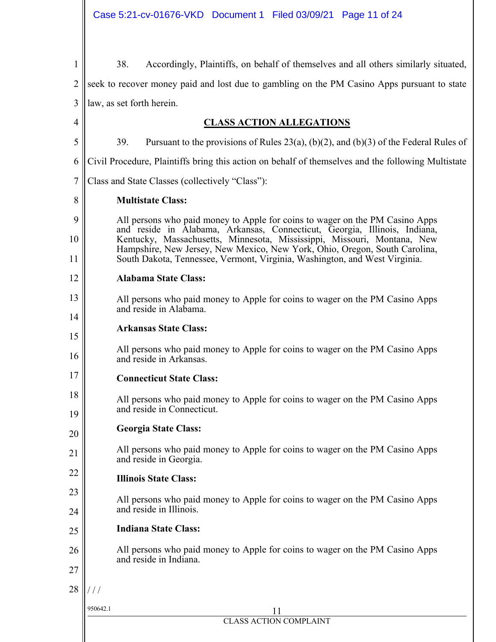| 1              | 38.<br>Accordingly, Plaintiffs, on behalf of themselves and all others similarly situated,                                                                                                                                           |  |  |  |  |  |  |
|----------------|--------------------------------------------------------------------------------------------------------------------------------------------------------------------------------------------------------------------------------------|--|--|--|--|--|--|
| $\overline{2}$ | seek to recover money paid and lost due to gambling on the PM Casino Apps pursuant to state                                                                                                                                          |  |  |  |  |  |  |
| 3              | law, as set forth herein.                                                                                                                                                                                                            |  |  |  |  |  |  |
| 4              | <b>CLASS ACTION ALLEGATIONS</b>                                                                                                                                                                                                      |  |  |  |  |  |  |
| 5              | 39.<br>Pursuant to the provisions of Rules 23(a), (b)(2), and (b)(3) of the Federal Rules of                                                                                                                                         |  |  |  |  |  |  |
| 6              | Civil Procedure, Plaintiffs bring this action on behalf of themselves and the following Multistate                                                                                                                                   |  |  |  |  |  |  |
| 7              | Class and State Classes (collectively "Class"):                                                                                                                                                                                      |  |  |  |  |  |  |
| 8              | <b>Multistate Class:</b>                                                                                                                                                                                                             |  |  |  |  |  |  |
| 9<br>10        | All persons who paid money to Apple for coins to wager on the PM Casino Apps<br>and reside in Alabama, Arkansas, Connecticut, Georgia, Illinois, Indiana,<br>Kentucky, Massachusetts, Minnesota, Mississippi, Missouri, Montana, New |  |  |  |  |  |  |
| 11             | Hampshire, New Jersey, New Mexico, New York, Ohio, Oregon, South Carolina,<br>South Dakota, Tennessee, Vermont, Virginia, Washington, and West Virginia.                                                                             |  |  |  |  |  |  |
| 12             | <b>Alabama State Class:</b>                                                                                                                                                                                                          |  |  |  |  |  |  |
| 13             | All persons who paid money to Apple for coins to wager on the PM Casino Apps<br>and reside in Alabama.                                                                                                                               |  |  |  |  |  |  |
| 14<br>15       | <b>Arkansas State Class:</b>                                                                                                                                                                                                         |  |  |  |  |  |  |
| 16             | All persons who paid money to Apple for coins to wager on the PM Casino Apps<br>and reside in Arkansas.                                                                                                                              |  |  |  |  |  |  |
| 17             | <b>Connecticut State Class:</b>                                                                                                                                                                                                      |  |  |  |  |  |  |
| 18<br>19       | All persons who paid money to Apple for coins to wager on the PM Casino Apps<br>and reside in Connecticut.                                                                                                                           |  |  |  |  |  |  |
| 20             | <b>Georgia State Class:</b>                                                                                                                                                                                                          |  |  |  |  |  |  |
| 21             | All persons who paid money to Apple for coins to wager on the PM Casino Apps<br>and reside in Georgia.                                                                                                                               |  |  |  |  |  |  |
| 22             | <b>Illinois State Class:</b>                                                                                                                                                                                                         |  |  |  |  |  |  |
| 23<br>24       | All persons who paid money to Apple for coins to wager on the PM Casino Apps<br>and reside in Illinois.                                                                                                                              |  |  |  |  |  |  |
| 25             | <b>Indiana State Class:</b>                                                                                                                                                                                                          |  |  |  |  |  |  |
| 26<br>27       | All persons who paid money to Apple for coins to wager on the PM Casino Apps<br>and reside in Indiana.                                                                                                                               |  |  |  |  |  |  |
| 28             | $\frac{1}{2}$                                                                                                                                                                                                                        |  |  |  |  |  |  |
|                | 950642.1<br>11                                                                                                                                                                                                                       |  |  |  |  |  |  |
|                | <b>CLASS ACTION COMPLAINT</b>                                                                                                                                                                                                        |  |  |  |  |  |  |
|                |                                                                                                                                                                                                                                      |  |  |  |  |  |  |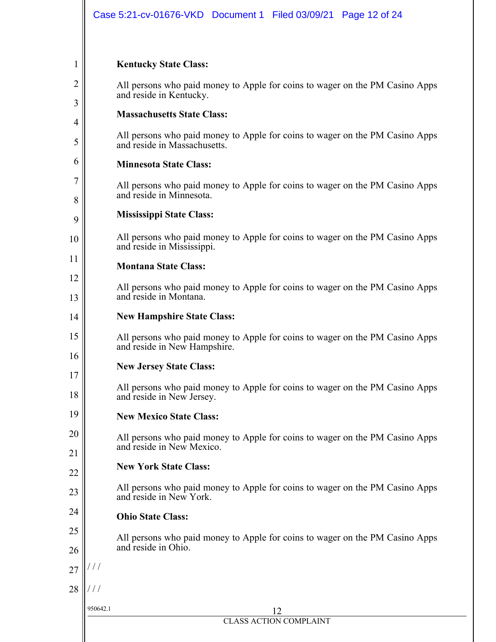### **Kentucky State Class:**

1

2

3

4

5

6

7

8

9

10

11

12

13

17

18

20

21

23

24

25

26

All persons who paid money to Apple for coins to wager on the PM Casino Apps and reside in Kentucky.

#### **Massachusetts State Class:**

All persons who paid money to Apple for coins to wager on the PM Casino Apps and reside in Massachusetts.

#### **Minnesota State Class:**

All persons who paid money to Apple for coins to wager on the PM Casino Apps and reside in Minnesota.

#### **Mississippi State Class:**

All persons who paid money to Apple for coins to wager on the PM Casino Apps and reside in Mississippi.

#### **Montana State Class:**

All persons who paid money to Apple for coins to wager on the PM Casino Apps and reside in Montana.

#### 14 **New Hampshire State Class:**

15 16 All persons who paid money to Apple for coins to wager on the PM Casino Apps and reside in New Hampshire.

#### **New Jersey State Class:**

All persons who paid money to Apple for coins to wager on the PM Casino Apps and reside in New Jersey.

#### 19 **New Mexico State Class:**

All persons who paid money to Apple for coins to wager on the PM Casino Apps and reside in New Mexico.

#### 22 **New York State Class:**

All persons who paid money to Apple for coins to wager on the PM Casino Apps and reside in New York.

#### **Ohio State Class:**

All persons who paid money to Apple for coins to wager on the PM Casino Apps and reside in Ohio.

27 / / /

28 / / /

#### 950642.1 12 CLASS ACTION COMPLAINT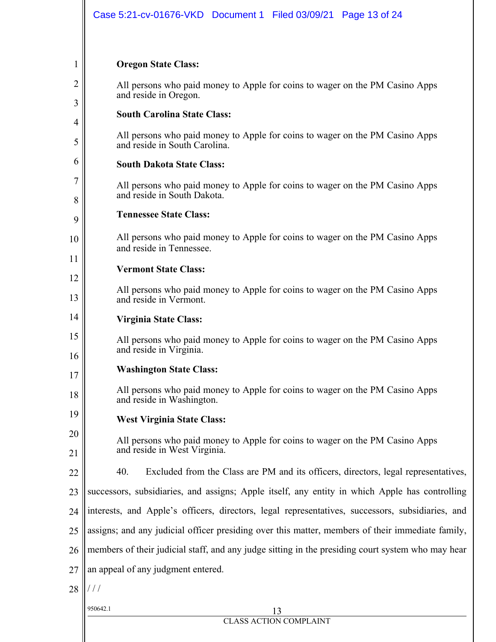#### **Oregon State Class:**

1

2

3

4

5

6

7

8

9

10

11

12

13

14

15

20

21

All persons who paid money to Apple for coins to wager on the PM Casino Apps and reside in Oregon.

#### **South Carolina State Class:**

All persons who paid money to Apple for coins to wager on the PM Casino Apps and reside in South Carolina.

#### **South Dakota State Class:**

All persons who paid money to Apple for coins to wager on the PM Casino Apps and reside in South Dakota.

#### **Tennessee State Class:**

All persons who paid money to Apple for coins to wager on the PM Casino Apps and reside in Tennessee.

#### **Vermont State Class:**

All persons who paid money to Apple for coins to wager on the PM Casino Apps and reside in Vermont.

#### **Virginia State Class:**

16 All persons who paid money to Apple for coins to wager on the PM Casino Apps and reside in Virginia.

#### 17 **Washington State Class:**

18 All persons who paid money to Apple for coins to wager on the PM Casino Apps and reside in Washington.

19 **West Virginia State Class:** 

> All persons who paid money to Apple for coins to wager on the PM Casino Apps and reside in West Virginia.

22 40. Excluded from the Class are PM and its officers, directors, legal representatives,

23 successors, subsidiaries, and assigns; Apple itself, any entity in which Apple has controlling

- 24 interests, and Apple's officers, directors, legal representatives, successors, subsidiaries, and
- 25 assigns; and any judicial officer presiding over this matter, members of their immediate family,

26 members of their judicial staff, and any judge sitting in the presiding court system who may hear

- 27 an appeal of any judgment entered.
- 28 / / /

#### 950642.1 13 CLASS ACTION COMPLAINT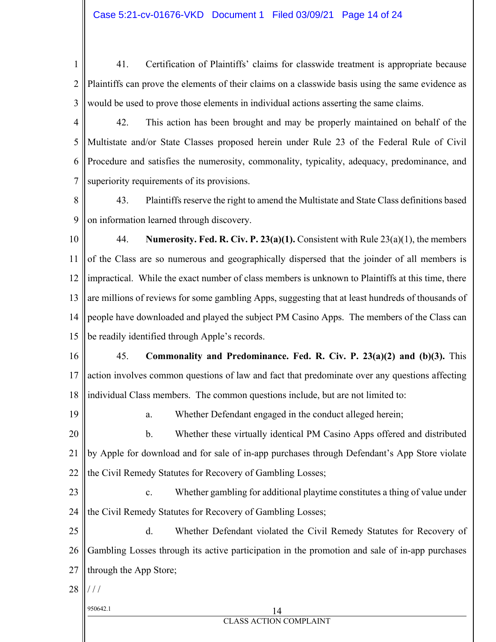- 1 2 3 41. Certification of Plaintiffs' claims for classwide treatment is appropriate because Plaintiffs can prove the elements of their claims on a classwide basis using the same evidence as would be used to prove those elements in individual actions asserting the same claims.
- 4

5

7

6 42. This action has been brought and may be properly maintained on behalf of the Multistate and/or State Classes proposed herein under Rule 23 of the Federal Rule of Civil Procedure and satisfies the numerosity, commonality, typicality, adequacy, predominance, and superiority requirements of its provisions.

8 9 43. Plaintiffs reserve the right to amend the Multistate and State Class definitions based on information learned through discovery.

10 11 12 13 14 15 44. **Numerosity. Fed. R. Civ. P. 23(a)(1).** Consistent with Rule 23(a)(1), the members of the Class are so numerous and geographically dispersed that the joinder of all members is impractical. While the exact number of class members is unknown to Plaintiffs at this time, there are millions of reviews for some gambling Apps, suggesting that at least hundreds of thousands of people have downloaded and played the subject PM Casino Apps. The members of the Class can be readily identified through Apple's records.

16 17 18 45. **Commonality and Predominance. Fed. R. Civ. P. 23(a)(2) and (b)(3).** This action involves common questions of law and fact that predominate over any questions affecting individual Class members. The common questions include, but are not limited to:

19 a. Whether Defendant engaged in the conduct alleged herein;

20 21 22 b. Whether these virtually identical PM Casino Apps offered and distributed by Apple for download and for sale of in-app purchases through Defendant's App Store violate the Civil Remedy Statutes for Recovery of Gambling Losses;

23 24 c. Whether gambling for additional playtime constitutes a thing of value under the Civil Remedy Statutes for Recovery of Gambling Losses;

25 26 27 d. Whether Defendant violated the Civil Remedy Statutes for Recovery of Gambling Losses through its active participation in the promotion and sale of in-app purchases through the App Store;

- 28  $/ /$ 
	-

### 950642.1 14 CLASS ACTION COMPLAINT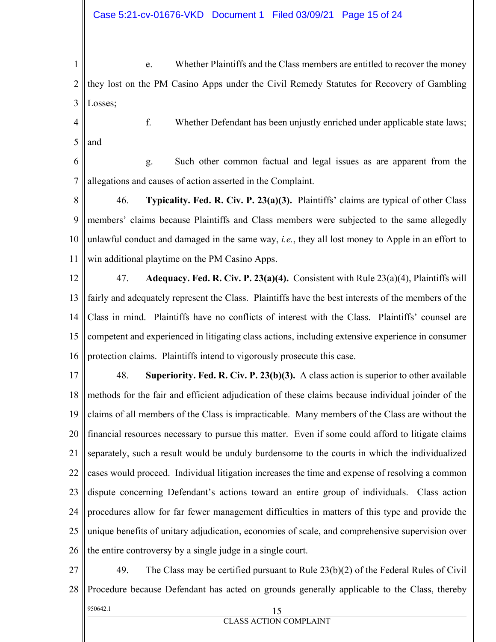1 2 3 e. Whether Plaintiffs and the Class members are entitled to recover the money they lost on the PM Casino Apps under the Civil Remedy Statutes for Recovery of Gambling Losses;

4 5

and

- f. Whether Defendant has been unjustly enriched under applicable state laws;
- 6 7 g. Such other common factual and legal issues as are apparent from the allegations and causes of action asserted in the Complaint.

8 9 10 11 46. **Typicality. Fed. R. Civ. P. 23(a)(3).** Plaintiffs' claims are typical of other Class members' claims because Plaintiffs and Class members were subjected to the same allegedly unlawful conduct and damaged in the same way, *i.e.*, they all lost money to Apple in an effort to win additional playtime on the PM Casino Apps.

12 13 14 15 16 47. **Adequacy. Fed. R. Civ. P. 23(a)(4).** Consistent with Rule 23(a)(4), Plaintiffs will fairly and adequately represent the Class. Plaintiffs have the best interests of the members of the Class in mind. Plaintiffs have no conflicts of interest with the Class. Plaintiffs' counsel are competent and experienced in litigating class actions, including extensive experience in consumer protection claims. Plaintiffs intend to vigorously prosecute this case.

17 18 19 20 21 22 23 24 25 26 48. **Superiority. Fed. R. Civ. P. 23(b)(3).** A class action is superior to other available methods for the fair and efficient adjudication of these claims because individual joinder of the claims of all members of the Class is impracticable. Many members of the Class are without the financial resources necessary to pursue this matter. Even if some could afford to litigate claims separately, such a result would be unduly burdensome to the courts in which the individualized cases would proceed. Individual litigation increases the time and expense of resolving a common dispute concerning Defendant's actions toward an entire group of individuals. Class action procedures allow for far fewer management difficulties in matters of this type and provide the unique benefits of unitary adjudication, economies of scale, and comprehensive supervision over the entire controversy by a single judge in a single court.

950642.1 15 CLASS ACTION COMPLAINT 27 28 49. The Class may be certified pursuant to Rule 23(b)(2) of the Federal Rules of Civil Procedure because Defendant has acted on grounds generally applicable to the Class, thereby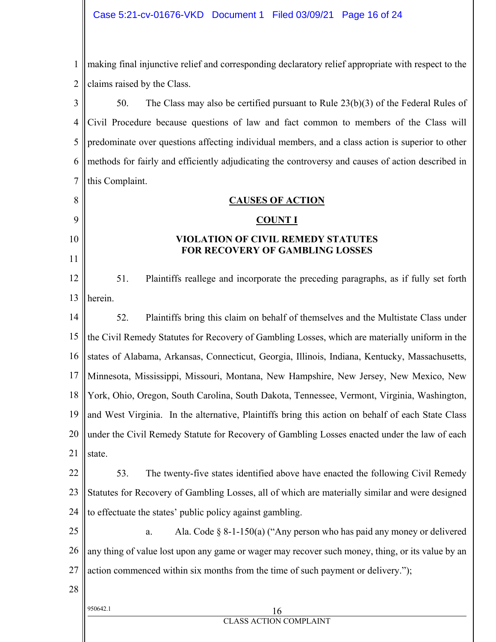1 2 making final injunctive relief and corresponding declaratory relief appropriate with respect to the claims raised by the Class.

3 4 5 6 7 50. The Class may also be certified pursuant to Rule 23(b)(3) of the Federal Rules of Civil Procedure because questions of law and fact common to members of the Class will predominate over questions affecting individual members, and a class action is superior to other methods for fairly and efficiently adjudicating the controversy and causes of action described in this Complaint.

## **CAUSES OF ACTION**

#### **COUNT I**

#### **VIOLATION OF CIVIL REMEDY STATUTES FOR RECOVERY OF GAMBLING LOSSES**

12 13 51. Plaintiffs reallege and incorporate the preceding paragraphs, as if fully set forth herein.

14 15 16 17 18 19 20 21 52. Plaintiffs bring this claim on behalf of themselves and the Multistate Class under the Civil Remedy Statutes for Recovery of Gambling Losses, which are materially uniform in the states of Alabama, Arkansas, Connecticut, Georgia, Illinois, Indiana, Kentucky, Massachusetts, Minnesota, Mississippi, Missouri, Montana, New Hampshire, New Jersey, New Mexico, New York, Ohio, Oregon, South Carolina, South Dakota, Tennessee, Vermont, Virginia, Washington, and West Virginia. In the alternative, Plaintiffs bring this action on behalf of each State Class under the Civil Remedy Statute for Recovery of Gambling Losses enacted under the law of each state.

22 23 24 53. The twenty-five states identified above have enacted the following Civil Remedy Statutes for Recovery of Gambling Losses, all of which are materially similar and were designed to effectuate the states' public policy against gambling.

25 26 27 a. Ala. Code  $\S 8$ -1-150(a) ("Any person who has paid any money or delivered any thing of value lost upon any game or wager may recover such money, thing, or its value by an action commenced within six months from the time of such payment or delivery.");

28

8

9

10

11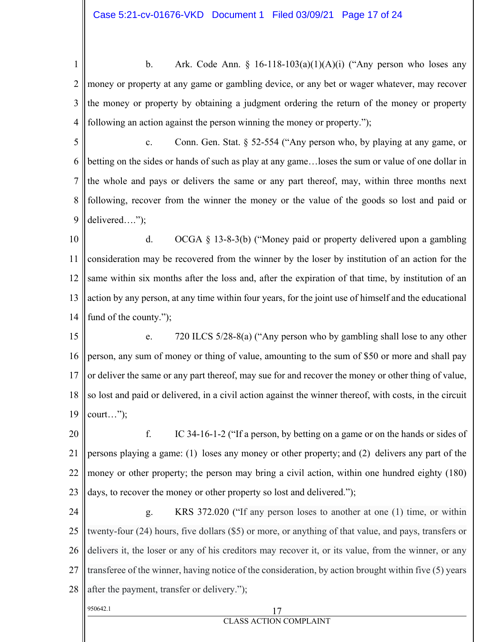1 2 3 4 b. Ark. Code Ann.  $\S$  16-118-103(a)(1)(A)(i) ("Any person who loses any money or property at any game or gambling device, or any bet or wager whatever, may recover the money or property by obtaining a judgment ordering the return of the money or property following an action against the person winning the money or property.");

- 5 6 7 8 9 c. Conn. Gen. Stat. § 52-554 ("Any person who, by playing at any game, or betting on the sides or hands of such as play at any game…loses the sum or value of one dollar in the whole and pays or delivers the same or any part thereof, may, within three months next following, recover from the winner the money or the value of the goods so lost and paid or delivered….");
- 10 11 12 13 14 d. OCGA § 13-8-3(b) ("Money paid or property delivered upon a gambling consideration may be recovered from the winner by the loser by institution of an action for the same within six months after the loss and, after the expiration of that time, by institution of an action by any person, at any time within four years, for the joint use of himself and the educational fund of the county.");
- 15 16 17 18 19 e. 720 ILCS 5/28-8(a) ("Any person who by gambling shall lose to any other person, any sum of money or thing of value, amounting to the sum of \$50 or more and shall pay or deliver the same or any part thereof, may sue for and recover the money or other thing of value, so lost and paid or delivered, in a civil action against the winner thereof, with costs, in the circuit court…");
- 20 21 22 23 f. IC 34-16-1-2 ("If a person, by betting on a game or on the hands or sides of persons playing a game: (1) loses any money or other property; and (2) delivers any part of the money or other property; the person may bring a civil action, within one hundred eighty (180) days, to recover the money or other property so lost and delivered.");
- 950642.1 17 24 25 26 27 28 g. KRS 372.020 ("If any person loses to another at one (1) time, or within twenty-four (24) hours, five dollars (\$5) or more, or anything of that value, and pays, transfers or delivers it, the loser or any of his creditors may recover it, or its value, from the winner, or any transferee of the winner, having notice of the consideration, by action brought within five (5) years after the payment, transfer or delivery.");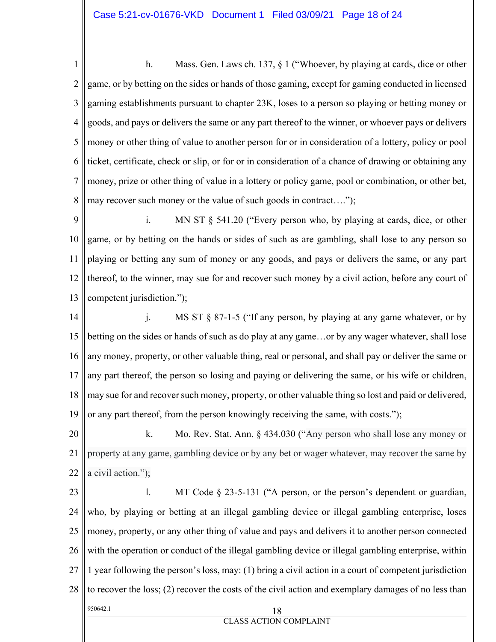1 2 3 4 5 6 7 8 h. Mass. Gen. Laws ch. 137, § 1 ("Whoever, by playing at cards, dice or other game, or by betting on the sides or hands of those gaming, except for gaming conducted in licensed gaming establishments pursuant to chapter 23K, loses to a person so playing or betting money or goods, and pays or delivers the same or any part thereof to the winner, or whoever pays or delivers money or other thing of value to another person for or in consideration of a lottery, policy or pool ticket, certificate, check or slip, or for or in consideration of a chance of drawing or obtaining any money, prize or other thing of value in a lottery or policy game, pool or combination, or other bet, may recover such money or the value of such goods in contract….");

9 10 11 12 13 i. MN ST § 541.20 ("Every person who, by playing at cards, dice, or other game, or by betting on the hands or sides of such as are gambling, shall lose to any person so playing or betting any sum of money or any goods, and pays or delivers the same, or any part thereof, to the winner, may sue for and recover such money by a civil action, before any court of competent jurisdiction.");

14 15 16 17 18 19 j. MS ST § 87-1-5 ("If any person, by playing at any game whatever, or by betting on the sides or hands of such as do play at any game…or by any wager whatever, shall lose any money, property, or other valuable thing, real or personal, and shall pay or deliver the same or any part thereof, the person so losing and paying or delivering the same, or his wife or children, may sue for and recover such money, property, or other valuable thing so lost and paid or delivered, or any part thereof, from the person knowingly receiving the same, with costs.");

20 21 22 k. Mo. Rev. Stat. Ann. § 434.030 ("Any person who shall lose any money or property at any game, gambling device or by any bet or wager whatever, may recover the same by a civil action.");

950642.1 18 23 24 25 26 27 28 l. MT Code § 23-5-131 ("A person, or the person's dependent or guardian, who, by playing or betting at an illegal gambling device or illegal gambling enterprise, loses money, property, or any other thing of value and pays and delivers it to another person connected with the operation or conduct of the illegal gambling device or illegal gambling enterprise, within 1 year following the person's loss, may: (1) bring a civil action in a court of competent jurisdiction to recover the loss; (2) recover the costs of the civil action and exemplary damages of no less than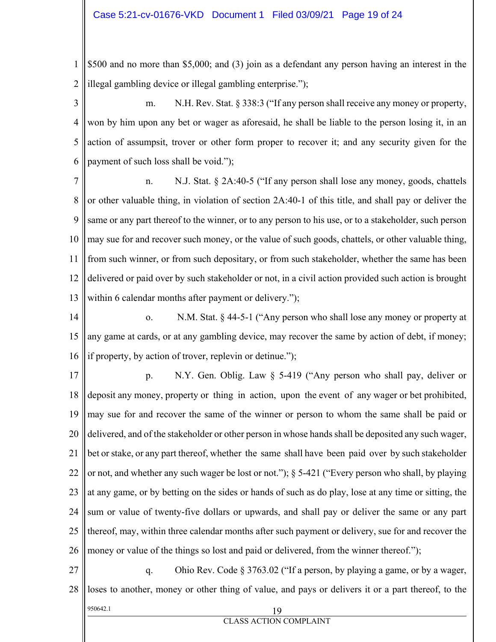1 2 \$500 and no more than \$5,000; and (3) join as a defendant any person having an interest in the illegal gambling device or illegal gambling enterprise.");

3 4 5 6 m. N.H. Rev. Stat. § 338:3 ("If any person shall receive any money or property, won by him upon any bet or wager as aforesaid, he shall be liable to the person losing it, in an action of assumpsit, trover or other form proper to recover it; and any security given for the payment of such loss shall be void.");

7 8 9 10 11 12 13 n. N.J. Stat. § 2A:40-5 ("If any person shall lose any money, goods, chattels or other valuable thing, in violation of section 2A:40-1 of this title, and shall pay or deliver the same or any part thereof to the winner, or to any person to his use, or to a stakeholder, such person may sue for and recover such money, or the value of such goods, chattels, or other valuable thing, from such winner, or from such depositary, or from such stakeholder, whether the same has been delivered or paid over by such stakeholder or not, in a civil action provided such action is brought within 6 calendar months after payment or delivery.");

14 15 16 o. N.M. Stat. § 44-5-1 ("Any person who shall lose any money or property at any game at cards, or at any gambling device, may recover the same by action of debt, if money; if property, by action of trover, replevin or detinue.");

17 18 19 20 21 22 23 24 25 26 p. N.Y. Gen. Oblig. Law § 5-419 ("Any person who shall pay, deliver or deposit any money, property or thing in action, upon the event of any wager or bet prohibited, may sue for and recover the same of the winner or person to whom the same shall be paid or delivered, and of the stakeholder or other person in whose hands shall be deposited any such wager, bet or stake, or any part thereof, whether the same shall have been paid over by such stakeholder or not, and whether any such wager be lost or not."); § 5-421 ("Every person who shall, by playing at any game, or by betting on the sides or hands of such as do play, lose at any time or sitting, the sum or value of twenty-five dollars or upwards, and shall pay or deliver the same or any part thereof, may, within three calendar months after such payment or delivery, sue for and recover the money or value of the things so lost and paid or delivered, from the winner thereof.");

950642.1 19 27 28 q. Ohio Rev. Code § 3763.02 ("If a person, by playing a game, or by a wager, loses to another, money or other thing of value, and pays or delivers it or a part thereof, to the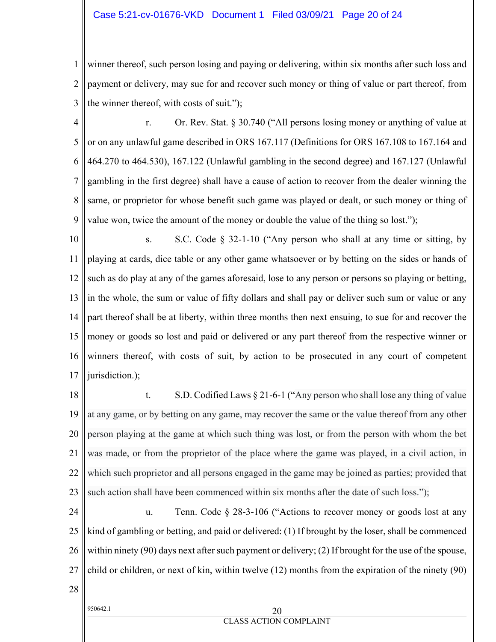#### Case 5:21-cv-01676-VKD Document 1 Filed 03/09/21 Page 20 of 24

1 2 3 winner thereof, such person losing and paying or delivering, within six months after such loss and payment or delivery, may sue for and recover such money or thing of value or part thereof, from the winner thereof, with costs of suit.");

4 5 6 7 8 9 r. Or. Rev. Stat. § 30.740 ("All persons losing money or anything of value at or on any unlawful game described in ORS 167.117 (Definitions for ORS 167.108 to 167.164 and 464.270 to 464.530), 167.122 (Unlawful gambling in the second degree) and 167.127 (Unlawful gambling in the first degree) shall have a cause of action to recover from the dealer winning the same, or proprietor for whose benefit such game was played or dealt, or such money or thing of value won, twice the amount of the money or double the value of the thing so lost.");

10 11 12 13 14 15 16 17 s. S.C. Code  $\S$  32-1-10 ("Any person who shall at any time or sitting, by playing at cards, dice table or any other game whatsoever or by betting on the sides or hands of such as do play at any of the games aforesaid, lose to any person or persons so playing or betting, in the whole, the sum or value of fifty dollars and shall pay or deliver such sum or value or any part thereof shall be at liberty, within three months then next ensuing, to sue for and recover the money or goods so lost and paid or delivered or any part thereof from the respective winner or winners thereof, with costs of suit, by action to be prosecuted in any court of competent jurisdiction.);

- 18 19 20 21 22 23 t. S.D. Codified Laws § 21-6-1 ("Any person who shall lose any thing of value at any game, or by betting on any game, may recover the same or the value thereof from any other person playing at the game at which such thing was lost, or from the person with whom the bet was made, or from the proprietor of the place where the game was played, in a civil action, in which such proprietor and all persons engaged in the game may be joined as parties; provided that such action shall have been commenced within six months after the date of such loss.");
- 24 25 26 27 u. Tenn. Code § 28-3-106 ("Actions to recover money or goods lost at any kind of gambling or betting, and paid or delivered: (1) If brought by the loser, shall be commenced within ninety (90) days next after such payment or delivery; (2) If brought for the use of the spouse, child or children, or next of kin, within twelve (12) months from the expiration of the ninety (90)
- 28

# $950642.1$  20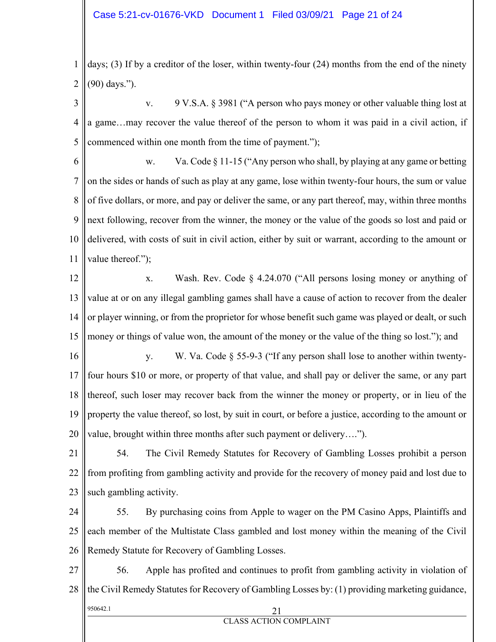1 2 days; (3) If by a creditor of the loser, within twenty-four (24) months from the end of the ninety (90) days.").

3 4 5 v. 9 V.S.A. § 3981 ("A person who pays money or other valuable thing lost at a game…may recover the value thereof of the person to whom it was paid in a civil action, if commenced within one month from the time of payment.");

6 7 8 9 10 11 w. Va. Code  $\S 11-15$  ("Any person who shall, by playing at any game or betting on the sides or hands of such as play at any game, lose within twenty-four hours, the sum or value of five dollars, or more, and pay or deliver the same, or any part thereof, may, within three months next following, recover from the winner, the money or the value of the goods so lost and paid or delivered, with costs of suit in civil action, either by suit or warrant, according to the amount or value thereof.");

12 13 14 15 x. Wash. Rev. Code § 4.24.070 ("All persons losing money or anything of value at or on any illegal gambling games shall have a cause of action to recover from the dealer or player winning, or from the proprietor for whose benefit such game was played or dealt, or such money or things of value won, the amount of the money or the value of the thing so lost."); and

16 17 18 19 20 y. W. Va. Code § 55-9-3 ("If any person shall lose to another within twentyfour hours \$10 or more, or property of that value, and shall pay or deliver the same, or any part thereof, such loser may recover back from the winner the money or property, or in lieu of the property the value thereof, so lost, by suit in court, or before a justice, according to the amount or value, brought within three months after such payment or delivery….").

21 22 23 54. The Civil Remedy Statutes for Recovery of Gambling Losses prohibit a person from profiting from gambling activity and provide for the recovery of money paid and lost due to such gambling activity.

24 25 26 55. By purchasing coins from Apple to wager on the PM Casino Apps, Plaintiffs and each member of the Multistate Class gambled and lost money within the meaning of the Civil Remedy Statute for Recovery of Gambling Losses.

950642.1 21 27 28 56. Apple has profited and continues to profit from gambling activity in violation of the Civil Remedy Statutes for Recovery of Gambling Losses by: (1) providing marketing guidance,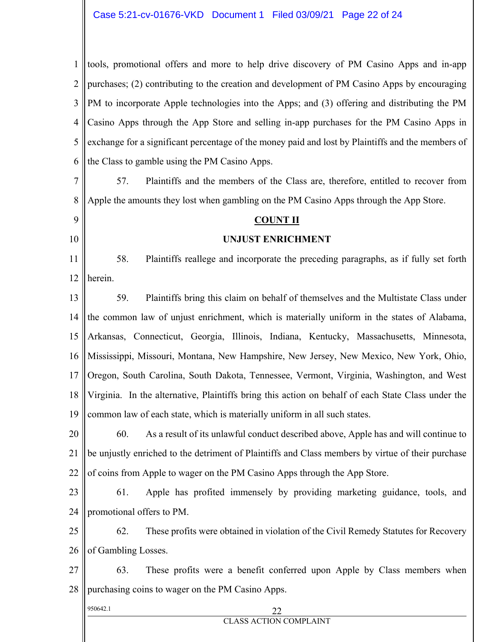1 2 3 4 5 6 tools, promotional offers and more to help drive discovery of PM Casino Apps and in-app purchases; (2) contributing to the creation and development of PM Casino Apps by encouraging PM to incorporate Apple technologies into the Apps; and (3) offering and distributing the PM Casino Apps through the App Store and selling in-app purchases for the PM Casino Apps in exchange for a significant percentage of the money paid and lost by Plaintiffs and the members of the Class to gamble using the PM Casino Apps.

7 8 57. Plaintiffs and the members of the Class are, therefore, entitled to recover from Apple the amounts they lost when gambling on the PM Casino Apps through the App Store.

#### **COUNT II**

#### **UNJUST ENRICHMENT**

11 12 58. Plaintiffs reallege and incorporate the preceding paragraphs, as if fully set forth herein.

13 14 15 16 17 18 19 59. Plaintiffs bring this claim on behalf of themselves and the Multistate Class under the common law of unjust enrichment, which is materially uniform in the states of Alabama, Arkansas, Connecticut, Georgia, Illinois, Indiana, Kentucky, Massachusetts, Minnesota, Mississippi, Missouri, Montana, New Hampshire, New Jersey, New Mexico, New York, Ohio, Oregon, South Carolina, South Dakota, Tennessee, Vermont, Virginia, Washington, and West Virginia. In the alternative, Plaintiffs bring this action on behalf of each State Class under the common law of each state, which is materially uniform in all such states.

20 21 22 60. As a result of its unlawful conduct described above, Apple has and will continue to be unjustly enriched to the detriment of Plaintiffs and Class members by virtue of their purchase of coins from Apple to wager on the PM Casino Apps through the App Store.

23 24 61. Apple has profited immensely by providing marketing guidance, tools, and promotional offers to PM.

25 26 62. These profits were obtained in violation of the Civil Remedy Statutes for Recovery of Gambling Losses.

27 28 63. These profits were a benefit conferred upon Apple by Class members when purchasing coins to wager on the PM Casino Apps.

## 950642.1 22

9

10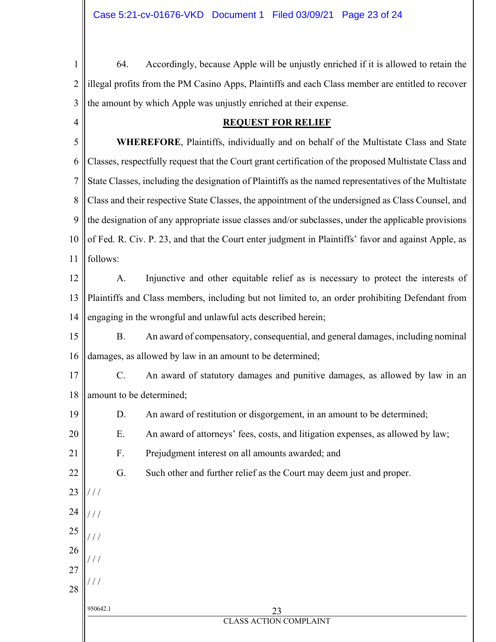1 2 3 4 64. Accordingly, because Apple will be unjustly enriched if it is allowed to retain the illegal profits from the PM Casino Apps, Plaintiffs and each Class member are entitled to recover the amount by which Apple was unjustly enriched at their expense.

#### **REQUEST FOR RELIEF**

5 6 7 8 9 10 11  **WHEREFORE**, Plaintiffs, individually and on behalf of the Multistate Class and State Classes, respectfully request that the Court grant certification of the proposed Multistate Class and State Classes, including the designation of Plaintiffs as the named representatives of the Multistate Class and their respective State Classes, the appointment of the undersigned as Class Counsel, and the designation of any appropriate issue classes and/or subclasses, under the applicable provisions of Fed. R. Civ. P. 23, and that the Court enter judgment in Plaintiffs' favor and against Apple, as follows:

12 13 14 A. Injunctive and other equitable relief as is necessary to protect the interests of Plaintiffs and Class members, including but not limited to, an order prohibiting Defendant from engaging in the wrongful and unlawful acts described herein;

15 16 B. An award of compensatory, consequential, and general damages, including nominal damages, as allowed by law in an amount to be determined;

17 18 C. An award of statutory damages and punitive damages, as allowed by law in an amount to be determined;

- D. An award of restitution or disgorgement, in an amount to be determined;
	- E. An award of attorneys' fees, costs, and litigation expenses, as allowed by law;
	- F. Prejudgment interest on all amounts awarded; and

19

20

21

22

23

/ / /

/ / /

/ / /

/ / /

 $^{\prime}$  /  $^{\prime}$ 

24

25

26

27

28

G. Such other and further relief as the Court may deem just and proper.

950642.1 23 CLASS ACTION COMPLAINT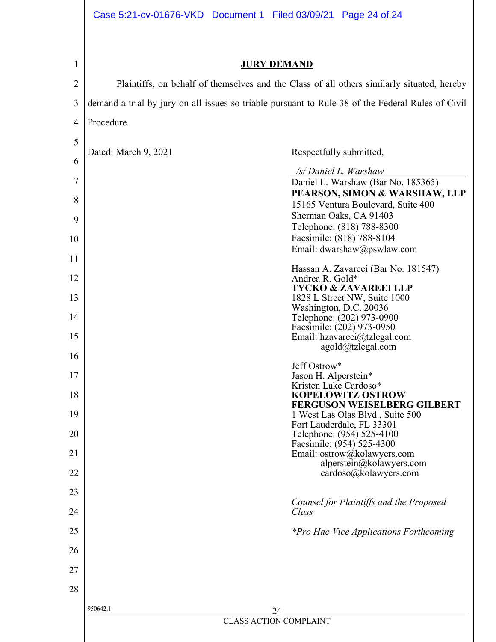| 1              | <b>JURY DEMAND</b>                                                                                |                                                                                                    |  |  |  |  |  |
|----------------|---------------------------------------------------------------------------------------------------|----------------------------------------------------------------------------------------------------|--|--|--|--|--|
| $\overline{2}$ | Plaintiffs, on behalf of themselves and the Class of all others similarly situated, hereby        |                                                                                                    |  |  |  |  |  |
| 3              | demand a trial by jury on all issues so triable pursuant to Rule 38 of the Federal Rules of Civil |                                                                                                    |  |  |  |  |  |
| $\overline{4}$ | Procedure.                                                                                        |                                                                                                    |  |  |  |  |  |
| 5              | Dated: March 9, 2021                                                                              | Respectfully submitted,                                                                            |  |  |  |  |  |
| 6              |                                                                                                   |                                                                                                    |  |  |  |  |  |
| 7              |                                                                                                   | /s/ Daniel L. Warshaw<br>Daniel L. Warshaw (Bar No. 185365)                                        |  |  |  |  |  |
| 8              |                                                                                                   | PEARSON, SIMON & WARSHAW, LLP<br>15165 Ventura Boulevard, Suite 400                                |  |  |  |  |  |
| 9              |                                                                                                   | Sherman Oaks, CA 91403<br>Telephone: (818) 788-8300                                                |  |  |  |  |  |
| 10             |                                                                                                   | Facsimile: (818) 788-8104<br>Email: dwarshaw@pswlaw.com                                            |  |  |  |  |  |
| 11             |                                                                                                   | Hassan A. Zavareei (Bar No. 181547)                                                                |  |  |  |  |  |
| 12             |                                                                                                   | Andrea R. Gold*<br><b>TYCKO &amp; ZAVAREEI LLP</b>                                                 |  |  |  |  |  |
| 13             |                                                                                                   | 1828 L Street NW, Suite 1000<br>Washington, D.C. 20036                                             |  |  |  |  |  |
| 14             |                                                                                                   | Telephone: (202) 973-0900<br>Facsimile: (202) 973-0950                                             |  |  |  |  |  |
| 15             |                                                                                                   | Email: hzavareei@tzlegal.com<br>agold@tzlegal.com                                                  |  |  |  |  |  |
| 16             |                                                                                                   | Jeff Ostrow*                                                                                       |  |  |  |  |  |
| 17             |                                                                                                   | Jason H. Alperstein*<br>Kristen Lake Cardoso*                                                      |  |  |  |  |  |
| 18<br>19       |                                                                                                   | <b>KOPELOWITZ OSTROW</b><br><b>FERGUSON WEISELBERG GILBERT</b><br>1 West Las Olas Blvd., Suite 500 |  |  |  |  |  |
| 20             |                                                                                                   | Fort Lauderdale, FL 33301<br>Telephone: (954) 525-4100                                             |  |  |  |  |  |
| 21             |                                                                                                   | Facsimile: (954) 525-4300<br>Email: ostrow@kolawyers.com                                           |  |  |  |  |  |
| 22             |                                                                                                   | alperstein@kolawyers.com<br>cardoso@kolawyers.com                                                  |  |  |  |  |  |
| 23             |                                                                                                   |                                                                                                    |  |  |  |  |  |
| 24             | Class                                                                                             | Counsel for Plaintiffs and the Proposed                                                            |  |  |  |  |  |
| 25             |                                                                                                   | <i>*Pro Hac Vice Applications Forthcoming</i>                                                      |  |  |  |  |  |
| 26             |                                                                                                   |                                                                                                    |  |  |  |  |  |
| 27             |                                                                                                   |                                                                                                    |  |  |  |  |  |
| 28             |                                                                                                   |                                                                                                    |  |  |  |  |  |
|                | 950642.1<br>24                                                                                    |                                                                                                    |  |  |  |  |  |
|                | <b>CLASS ACTION COMPLAINT</b>                                                                     |                                                                                                    |  |  |  |  |  |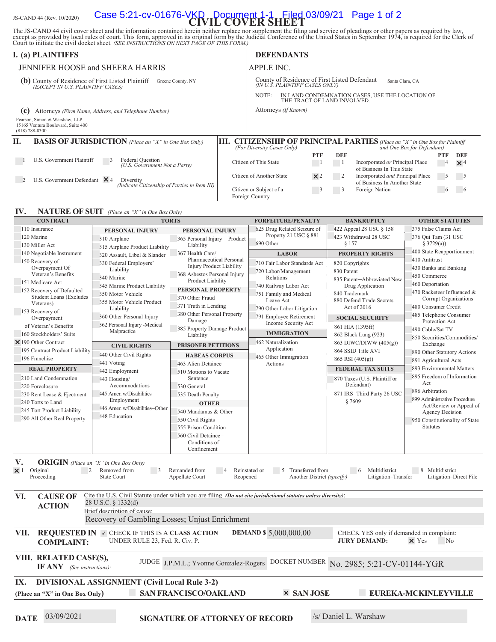# JS-CAND 44 (Rev. 10/2020) **Case 5:21-cv-01676-VKD Document 1-1 Filed 03/09/21** Page 1 of 2

The JS-CAND 44 civil cover sheet and the information contained herein neither replace nor supplement the filing and service of pleadings or other papers as required by law, except as provided by local rules of court. This

| <b>I.</b> (a) PLAINTIFFS                                                                                   |    | <b>DEFENDANTS</b>                                                                                  |                             |            |                                                                                                              |            |                            |
|------------------------------------------------------------------------------------------------------------|----|----------------------------------------------------------------------------------------------------|-----------------------------|------------|--------------------------------------------------------------------------------------------------------------|------------|----------------------------|
| JENNIFER HOOSE and SHEERA HARRIS                                                                           |    | APPLE INC.                                                                                         |                             |            |                                                                                                              |            |                            |
| (b) County of Residence of First Listed Plaintiff<br>Greene County, NY<br>(EXCEPT IN U.S. PLAINTIFF CASES) |    | County of Residence of First Listed Defendant<br>Santa Clara, CA<br>(IN U.S. PLAINTIFF CASES ONLY) |                             |            |                                                                                                              |            |                            |
|                                                                                                            |    | NOTE:                                                                                              | THE TRACT OF LAND INVOLVED. |            | IN LAND CONDEMNATION CASES, USE THE LOCATION OF                                                              |            |                            |
| Attorneys (Firm Name, Address, and Telephone Number)<br>(c)                                                |    | Attorneys (If Known)                                                                               |                             |            |                                                                                                              |            |                            |
| Pearson, Simon & Warshaw, LLP<br>15165 Ventura Boulevard, Suite 400<br>$(818)$ 788-8300                    |    |                                                                                                    |                             |            |                                                                                                              |            |                            |
| П.<br><b>BASIS OF JURISDICTION</b> (Place an "X" in One Box Only)                                          | Ш. | (For Diversity Cases Only)                                                                         |                             |            | <b>CITIZENSHIP OF PRINCIPAL PARTIES</b> (Place an "X" in One Box for Plaintiff<br>and One Box for Defendant) |            |                            |
|                                                                                                            |    |                                                                                                    | <b>PTF</b>                  | <b>DEF</b> |                                                                                                              | <b>PTF</b> | DEF                        |
| U.S. Government Plaintiff<br>Federal Question<br>(U.S. Government Not a Party)                             |    | Citizen of This State                                                                              |                             |            | Incorporated or Principal Place<br>of Business In This State                                                 | 4          | $\times$ 4                 |
| U.S. Government Defendant $\times$ 4<br>Diversity<br>(Indicate Citizenship of Parties in Item III)         |    | Citizen of Another State                                                                           | $\times 2$                  |            | Incorporated <i>and</i> Principal Place<br>of Business In Another State                                      | 5          | $\overline{\phantom{0}}$ 5 |
|                                                                                                            |    | Citizen or Subject of a<br>Foreign Country                                                         |                             | -3         | Foreign Nation                                                                                               | $\circ$    |                            |

#### **IV. NATURE OF SUIT** (Place an "X" in One Box Only)

| <b>CONTRACT</b>                                                                                                     | <b>TORTS</b>                                                                                                   |                                        | <b>FORFEITURE/PENALTY</b>               | <b>BANKRUPTCY</b>                        | <b>OTHER STATUTES</b>                             |  |  |
|---------------------------------------------------------------------------------------------------------------------|----------------------------------------------------------------------------------------------------------------|----------------------------------------|-----------------------------------------|------------------------------------------|---------------------------------------------------|--|--|
| 110 Insurance                                                                                                       | PERSONAL INJURY                                                                                                | PERSONAL INJURY                        | 625 Drug Related Seizure of             | 422 Appeal 28 USC § 158                  | 375 False Claims Act                              |  |  |
| 120 Marine                                                                                                          | 310 Airplane                                                                                                   | 365 Personal Injury - Product          | Property 21 USC § 881                   | 423 Withdrawal 28 USC                    | 376 Qui Tam (31 USC)                              |  |  |
| 130 Miller Act                                                                                                      | 315 Airplane Product Liability                                                                                 | Liability                              | 690 Other                               | § 157                                    | § 3729(a))                                        |  |  |
| 140 Negotiable Instrument                                                                                           | 320 Assault, Libel & Slander                                                                                   | 367 Health Care/                       | <b>LABOR</b>                            | <b>PROPERTY RIGHTS</b>                   | 400 State Reapportionment                         |  |  |
| 150 Recovery of                                                                                                     | 330 Federal Employers'                                                                                         | Pharmaceutical Personal                | 710 Fair Labor Standards Act            | 820 Copyrights                           | 410 Antitrust                                     |  |  |
| Overpayment Of                                                                                                      | Liability                                                                                                      | <b>Injury Product Liability</b>        | 720 Labor/Management                    | 830 Patent                               | 430 Banks and Banking                             |  |  |
| Veteran's Benefits                                                                                                  | 340 Marine                                                                                                     | 368 Asbestos Personal Injury           | Relations                               | 835 Patent-Abbreviated New               | 450 Commerce                                      |  |  |
| 151 Medicare Act                                                                                                    | 345 Marine Product Liability                                                                                   | Product Liability                      | 740 Railway Labor Act                   | Drug Application<br>840 Trademark        | 460 Deportation                                   |  |  |
| 152 Recovery of Defaulted                                                                                           | 350 Motor Vehicle                                                                                              | PERSONAL PROPERTY                      | 751 Family and Medical                  |                                          | 470 Racketeer Influenced &                        |  |  |
| <b>Student Loans (Excludes</b>                                                                                      | 355 Motor Vehicle Product                                                                                      | 370 Other Fraud                        | Leave Act                               | 880 Defend Trade Secrets                 | Corrupt Organizations                             |  |  |
| Veterans)                                                                                                           | Liability                                                                                                      | 371 Truth in Lending                   | 790 Other Labor Litigation              | Act of 2016                              | 480 Consumer Credit                               |  |  |
| 153 Recovery of<br>Overpayment                                                                                      | 360 Other Personal Injury                                                                                      | 380 Other Personal Property            | 791 Employee Retirement                 | <b>SOCIAL SECURITY</b>                   | 485 Telephone Consumer                            |  |  |
| of Veteran's Benefits                                                                                               | 362 Personal Injury -Medical                                                                                   | Damage                                 | Income Security Act                     |                                          | Protection Act                                    |  |  |
|                                                                                                                     | Malpractice                                                                                                    | 385 Property Damage Product            | <b>IMMIGRATION</b>                      | 861 HIA (1395ff)                         | 490 Cable/Sat TV                                  |  |  |
| 160 Stockholders' Suits                                                                                             |                                                                                                                | Liability                              |                                         | 862 Black Lung (923)                     | 850 Securities/Commodities/                       |  |  |
| $\times$ 190 Other Contract                                                                                         | <b>CIVIL RIGHTS</b>                                                                                            | <b>PRISONER PETITIONS</b>              | 462 Naturalization                      | 863 DIWC/DIWW (405(g))                   | Exchange                                          |  |  |
| 195 Contract Product Liability                                                                                      | 440 Other Civil Rights                                                                                         | <b>HABEAS CORPUS</b>                   | Application                             | 864 SSID Title XVI                       | 890 Other Statutory Actions                       |  |  |
| 196 Franchise                                                                                                       | 441 Voting                                                                                                     | 463 Alien Detainee                     | 465 Other Immigration<br>Actions        | 865 RSI (405(g))                         | 891 Agricultural Acts                             |  |  |
| <b>REAL PROPERTY</b>                                                                                                | 442 Employment                                                                                                 | 510 Motions to Vacate                  |                                         | <b>FEDERAL TAX SUITS</b>                 | 893 Environmental Matters                         |  |  |
| 210 Land Condemnation                                                                                               | 443 Housing/                                                                                                   | Sentence                               |                                         | 870 Taxes (U.S. Plaintiff or             | 895 Freedom of Information                        |  |  |
| 220 Foreclosure                                                                                                     | Accommodations                                                                                                 | 530 General                            |                                         | Defendant)                               | Act                                               |  |  |
| 230 Rent Lease & Ejectment                                                                                          | 445 Amer. w/Disabilities-                                                                                      | 535 Death Penalty                      |                                         | 871 IRS-Third Party 26 USC               | 896 Arbitration                                   |  |  |
| 240 Torts to Land                                                                                                   | Employment                                                                                                     | <b>OTHER</b>                           |                                         | § 7609                                   | 899 Administrative Procedure                      |  |  |
| 245 Tort Product Liability                                                                                          | 446 Amer. w/Disabilities-Other                                                                                 | 540 Mandamus & Other                   |                                         |                                          | Act/Review or Appeal of                           |  |  |
| 290 All Other Real Property                                                                                         | 448 Education                                                                                                  |                                        |                                         |                                          | <b>Agency Decision</b>                            |  |  |
|                                                                                                                     |                                                                                                                | 550 Civil Rights                       |                                         |                                          | 950 Constitutionality of State<br><b>Statutes</b> |  |  |
|                                                                                                                     |                                                                                                                | 555 Prison Condition                   |                                         |                                          |                                                   |  |  |
|                                                                                                                     |                                                                                                                | 560 Civil Detainee-                    |                                         |                                          |                                                   |  |  |
|                                                                                                                     |                                                                                                                | Conditions of<br>Confinement           |                                         |                                          |                                                   |  |  |
|                                                                                                                     |                                                                                                                |                                        |                                         |                                          |                                                   |  |  |
| <b>ORIGIN</b> (Place an "X" in One Box Only)<br>V.                                                                  |                                                                                                                |                                        |                                         |                                          |                                                   |  |  |
| Original<br>$\overline{2}$<br>$\times$ 1                                                                            | Removed from<br>$\overline{\phantom{a}}$                                                                       | Remanded from                          | Reinstated or<br>Transferred from<br>.5 | $6\overline{6}$<br>Multidistrict         | 8 Multidistrict                                   |  |  |
| Proceeding                                                                                                          | <b>State Court</b>                                                                                             | Appellate Court<br>Reopened            | Another District (specify)              | Litigation-Transfer                      | Litigation-Direct File                            |  |  |
|                                                                                                                     |                                                                                                                |                                        |                                         |                                          |                                                   |  |  |
| VI.<br><b>CAUSE OF</b>                                                                                              | Cite the U.S. Civil Statute under which you are filing (Do not cite jurisdictional statutes unless diversity): |                                        |                                         |                                          |                                                   |  |  |
|                                                                                                                     | 28 U.S.C. § 1332(d)                                                                                            |                                        |                                         |                                          |                                                   |  |  |
| <b>ACTION</b>                                                                                                       | Brief description of cause:                                                                                    |                                        |                                         |                                          |                                                   |  |  |
|                                                                                                                     | Recovery of Gambling Losses; Unjust Enrichment                                                                 |                                        |                                         |                                          |                                                   |  |  |
|                                                                                                                     |                                                                                                                |                                        |                                         |                                          |                                                   |  |  |
| VII.                                                                                                                | <b>REQUESTED IN V CHECK IF THIS IS A CLASS ACTION</b>                                                          |                                        | <b>DEMAND \$5,000,000.00</b>            | CHECK YES only if demanded in complaint: |                                                   |  |  |
| <b>COMPLAINT:</b>                                                                                                   | UNDER RULE 23, Fed. R. Civ. P.                                                                                 |                                        |                                         | <b>JURY DEMAND:</b>                      | $\times$ Yes<br>No.                               |  |  |
|                                                                                                                     |                                                                                                                |                                        |                                         |                                          |                                                   |  |  |
| VIII. RELATED CASE(S),                                                                                              |                                                                                                                |                                        |                                         |                                          |                                                   |  |  |
| DOCKET NUMBER No. 2985; 5:21-CV-01144-YGR<br>JUDGE J.P.M.L.; Yvonne Gonzalez-Rogers<br>$IF ANY$ (See instructions): |                                                                                                                |                                        |                                         |                                          |                                                   |  |  |
|                                                                                                                     |                                                                                                                |                                        |                                         |                                          |                                                   |  |  |
| IX.                                                                                                                 | <b>DIVISIONAL ASSIGNMENT (Civil Local Rule 3-2)</b>                                                            |                                        |                                         |                                          |                                                   |  |  |
|                                                                                                                     |                                                                                                                |                                        |                                         |                                          |                                                   |  |  |
| (Place an "X" in One Box Only)                                                                                      |                                                                                                                | <b>SAN FRANCISCO/OAKLAND</b>           | <b>× SAN JOSE</b>                       |                                          | EUREKA-MCKINLEYVILLE                              |  |  |
|                                                                                                                     |                                                                                                                |                                        |                                         |                                          |                                                   |  |  |
| 03/09/2021                                                                                                          |                                                                                                                |                                        |                                         | /s/ Daniel L. Warshaw                    |                                                   |  |  |
| <b>DATE</b>                                                                                                         |                                                                                                                | <b>SIGNATURE OF ATTORNEY OF RECORD</b> |                                         |                                          |                                                   |  |  |